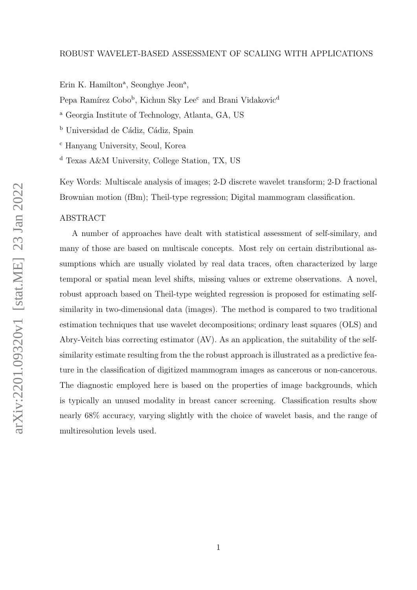Erin K. Hamilton<sup>a</sup>, Seonghye Jeon<sup>a</sup>,

Pepa Ramírez Cobo<sup>b</sup>, Kichun Sky Lee<sup>c</sup> and Brani Vidakovic<sup>d</sup>

<sup>a</sup> Georgia Institute of Technology, Atlanta, GA, US

<sup>b</sup> Universidad de Cádiz, Cádiz, Spain

<sup>c</sup> Hanyang University, Seoul, Korea

<sup>d</sup> Texas A&M University, College Station, TX, US

Key Words: Multiscale analysis of images; 2-D discrete wavelet transform; 2-D fractional Brownian motion (fBm); Theil-type regression; Digital mammogram classification.

## ABSTRACT

A number of approaches have dealt with statistical assessment of self-similary, and many of those are based on multiscale concepts. Most rely on certain distributional assumptions which are usually violated by real data traces, often characterized by large temporal or spatial mean level shifts, missing values or extreme observations. A novel, robust approach based on Theil-type weighted regression is proposed for estimating selfsimilarity in two-dimensional data (images). The method is compared to two traditional estimation techniques that use wavelet decompositions; ordinary least squares (OLS) and Abry-Veitch bias correcting estimator (AV). As an application, the suitability of the selfsimilarity estimate resulting from the the robust approach is illustrated as a predictive feature in the classification of digitized mammogram images as cancerous or non-cancerous. The diagnostic employed here is based on the properties of image backgrounds, which is typically an unused modality in breast cancer screening. Classification results show nearly 68% accuracy, varying slightly with the choice of wavelet basis, and the range of multiresolution levels used.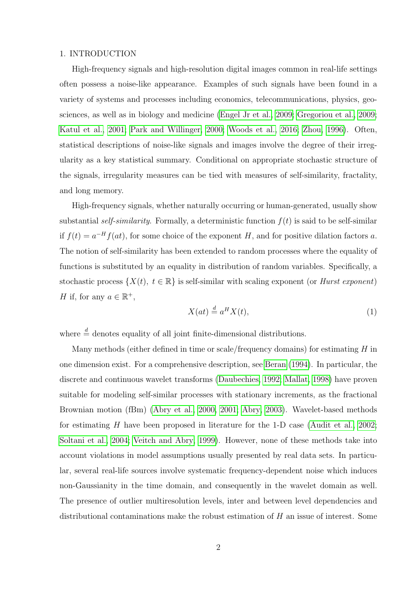# 1. INTRODUCTION

High-frequency signals and high-resolution digital images common in real-life settings often possess a noise-like appearance. Examples of such signals have been found in a variety of systems and processes including economics, telecommunications, physics, geosciences, as well as in biology and medicine [\(Engel Jr et al., 2009;](#page-18-0) [Gregoriou et al., 2009;](#page-18-1) [Katul et al., 2001;](#page-19-0) [Park and Willinger, 2000;](#page-19-1) [Woods et al., 2016;](#page-21-0) [Zhou, 1996\)](#page-21-1). Often, statistical descriptions of noise-like signals and images involve the degree of their irregularity as a key statistical summary. Conditional on appropriate stochastic structure of the signals, irregularity measures can be tied with measures of self-similarity, fractality, and long memory.

High-frequency signals, whether naturally occurring or human-generated, usually show substantial self-similarity. Formally, a deterministic function  $f(t)$  is said to be self-similar if  $f(t) = a^{-H} f(at)$ , for some choice of the exponent H, and for positive dilation factors a. The notion of self-similarity has been extended to random processes where the equality of functions is substituted by an equality in distribution of random variables. Specifically, a stochastic process  $\{X(t), t \in \mathbb{R}\}\$ is self-similar with scaling exponent (or *Hurst exponent*) H if, for any  $a \in \mathbb{R}^+$ ,

<span id="page-1-0"></span>
$$
X(at) \stackrel{d}{=} a^H X(t),\tag{1}
$$

where  $\stackrel{d}{=}$  denotes equality of all joint finite-dimensional distributions.

Many methods (either defined in time or scale/frequency domains) for estimating  $H$  in one dimension exist. For a comprehensive description, see [Beran](#page-17-0) [\(1994\)](#page-17-0). In particular, the discrete and continuous wavelet transforms [\(Daubechies, 1992;](#page-17-1) [Mallat, 1998\)](#page-19-2) have proven suitable for modeling self-similar processes with stationary increments, as the fractional Brownian motion (fBm) [\(Abry et al., 2000,](#page-17-2) [2001;](#page-17-3) [Abry, 2003\)](#page-17-4). Wavelet-based methods for estimating H have been proposed in literature for the 1-D case [\(Audit et al., 2002;](#page-17-5) [Soltani et al., 2004;](#page-20-0) [Veitch and Abry, 1999\)](#page-20-1). However, none of these methods take into account violations in model assumptions usually presented by real data sets. In particular, several real-life sources involve systematic frequency-dependent noise which induces non-Gaussianity in the time domain, and consequently in the wavelet domain as well. The presence of outlier multiresolution levels, inter and between level dependencies and distributional contaminations make the robust estimation of  $H$  an issue of interest. Some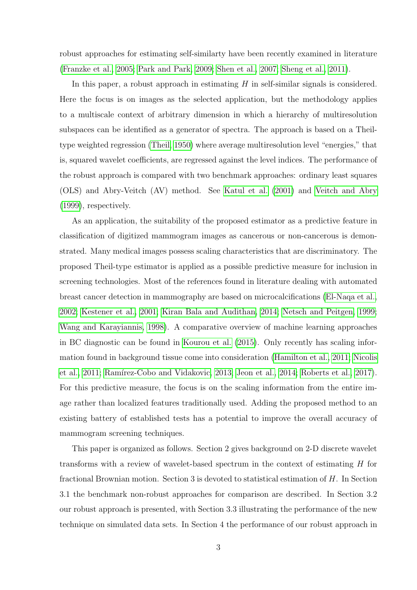robust approaches for estimating self-similarty have been recently examined in literature [\(Franzke et al., 2005;](#page-18-2) [Park and Park, 2009;](#page-19-3) [Shen et al., 2007;](#page-20-2) [Sheng et al., 2011\)](#page-20-3).

In this paper, a robust approach in estimating  $H$  in self-similar signals is considered. Here the focus is on images as the selected application, but the methodology applies to a multiscale context of arbitrary dimension in which a hierarchy of multiresolution subspaces can be identified as a generator of spectra. The approach is based on a Theiltype weighted regression [\(Theil, 1950\)](#page-20-4) where average multiresolution level "energies," that is, squared wavelet coefficients, are regressed against the level indices. The performance of the robust approach is compared with two benchmark approaches: ordinary least squares (OLS) and Abry-Veitch (AV) method. See [Katul et al.](#page-19-0) [\(2001\)](#page-19-0) and [Veitch and Abry](#page-20-1) [\(1999\)](#page-20-1), respectively.

As an application, the suitability of the proposed estimator as a predictive feature in classification of digitized mammogram images as cancerous or non-cancerous is demonstrated. Many medical images possess scaling characteristics that are discriminatory. The proposed Theil-type estimator is applied as a possible predictive measure for inclusion in screening technologies. Most of the references found in literature dealing with automated breast cancer detection in mammography are based on microcalcifications [\(El-Naqa et al.,](#page-17-6) [2002;](#page-17-6) [Kestener et al., 2001;](#page-19-4) [Kiran Bala and Audithan, 2014;](#page-19-5) [Netsch and Peitgen, 1999;](#page-19-6) [Wang and Karayiannis, 1998\)](#page-20-5). A comparative overview of machine learning approaches in BC diagnostic can be found in [Kourou et al.](#page-19-7) [\(2015\)](#page-19-7). Only recently has scaling information found in background tissue come into consideration [\(Hamilton et al., 2011;](#page-18-3) [Nicolis](#page-19-8) [et al., 2011;](#page-19-8) Ramírez-Cobo and Vidakovic, 2013; [Jeon et al., 2014;](#page-18-4) [Roberts et al., 2017\)](#page-20-7). For this predictive measure, the focus is on the scaling information from the entire image rather than localized features traditionally used. Adding the proposed method to an existing battery of established tests has a potential to improve the overall accuracy of mammogram screening techniques.

This paper is organized as follows. Section 2 gives background on 2-D discrete wavelet transforms with a review of wavelet-based spectrum in the context of estimating H for fractional Brownian motion. Section 3 is devoted to statistical estimation of H. In Section 3.1 the benchmark non-robust approaches for comparison are described. In Section 3.2 our robust approach is presented, with Section 3.3 illustrating the performance of the new technique on simulated data sets. In Section 4 the performance of our robust approach in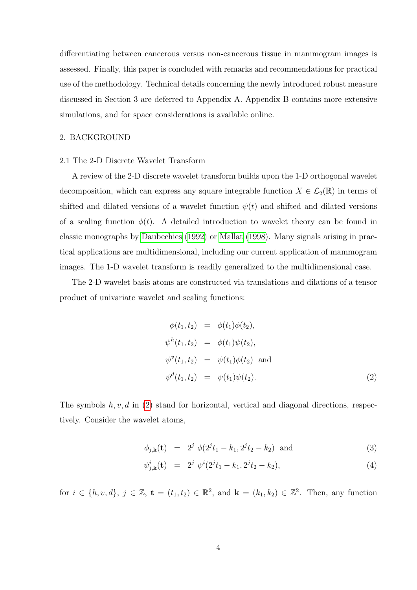differentiating between cancerous versus non-cancerous tissue in mammogram images is assessed. Finally, this paper is concluded with remarks and recommendations for practical use of the methodology. Technical details concerning the newly introduced robust measure discussed in Section 3 are deferred to Appendix A. Appendix B contains more extensive simulations, and for space considerations is available online.

# 2. BACKGROUND

## 2.1 The 2-D Discrete Wavelet Transform

A review of the 2-D discrete wavelet transform builds upon the 1-D orthogonal wavelet decomposition, which can express any square integrable function  $X \in \mathcal{L}_2(\mathbb{R})$  in terms of shifted and dilated versions of a wavelet function  $\psi(t)$  and shifted and dilated versions of a scaling function  $\phi(t)$ . A detailed introduction to wavelet theory can be found in classic monographs by [Daubechies](#page-17-1) [\(1992\)](#page-17-1) or [Mallat](#page-19-2) [\(1998\)](#page-19-2). Many signals arising in practical applications are multidimensional, including our current application of mammogram images. The 1-D wavelet transform is readily generalized to the multidimensional case.

The 2-D wavelet basis atoms are constructed via translations and dilations of a tensor product of univariate wavelet and scaling functions:

<span id="page-3-0"></span>
$$
\begin{aligned}\n\phi(t_1, t_2) &= \phi(t_1)\phi(t_2), \\
\psi^h(t_1, t_2) &= \phi(t_1)\psi(t_2), \\
\psi^v(t_1, t_2) &= \psi(t_1)\phi(t_2) \text{ and} \\
\psi^d(t_1, t_2) &= \psi(t_1)\psi(t_2).\n\end{aligned}
$$
(2)

The symbols  $h, v, d$  in [\(2\)](#page-3-0) stand for horizontal, vertical and diagonal directions, respectively. Consider the wavelet atoms,

$$
\phi_{j,k}(\mathbf{t}) = 2^j \phi(2^j t_1 - k_1, 2^j t_2 - k_2) \text{ and } (3)
$$

$$
\psi_{j,\mathbf{k}}^i(\mathbf{t}) = 2^j \ \psi^i(2^j t_1 - k_1, 2^j t_2 - k_2), \tag{4}
$$

for  $i \in \{h, v, d\}, j \in \mathbb{Z}, t = (t_1, t_2) \in \mathbb{R}^2$ , and  $\mathbf{k} = (k_1, k_2) \in \mathbb{Z}^2$ . Then, any function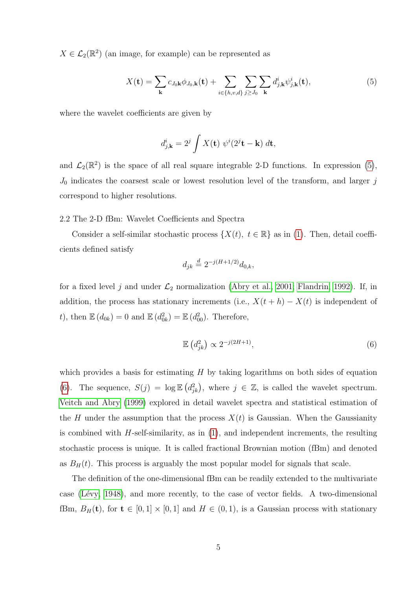$X \in \mathcal{L}_2(\mathbb{R}^2)$  (an image, for example) can be represented as

$$
X(\mathbf{t}) = \sum_{\mathbf{k}} c_{J_0 \mathbf{k}} \phi_{J_0, \mathbf{k}}(\mathbf{t}) + \sum_{i \in \{h, v, d\}} \sum_{j \ge J_0} \sum_{\mathbf{k}} d_{j, \mathbf{k}}^i \psi_{j, \mathbf{k}}^i(\mathbf{t}), \tag{5}
$$

where the wavelet coefficients are given by

<span id="page-4-0"></span>
$$
d_{j,\mathbf{k}}^i = 2^j \int X(\mathbf{t}) \ \psi^i(2^j \mathbf{t} - \mathbf{k}) \ d\mathbf{t},
$$

and  $\mathcal{L}_2(\mathbb{R}^2)$  is the space of all real square integrable 2-D functions. In expression [\(5\)](#page-4-0),  $J_0$  indicates the coarsest scale or lowest resolution level of the transform, and larger j correspond to higher resolutions.

## 2.2 The 2-D fBm: Wavelet Coefficients and Spectra

Consider a self-similar stochastic process  $\{X(t), t \in \mathbb{R}\}\$ as in [\(1\)](#page-1-0). Then, detail coefficients defined satisfy

$$
d_{jk} \stackrel{d}{=} 2^{-j(H+1/2)} d_{0,k},
$$

for a fixed level j and under  $\mathcal{L}_2$  normalization [\(Abry et al., 2001;](#page-17-3) [Flandrin, 1992\)](#page-18-5). If, in addition, the process has stationary increments (i.e.,  $X(t + h) - X(t)$  is independent of t), then  $\mathbb{E}\left(d_{0k}\right) = 0$  and  $\mathbb{E}\left(d_{0k}^2\right) = \mathbb{E}\left(d_{00}^2\right)$ . Therefore,

<span id="page-4-1"></span>
$$
\mathbb{E}\left(d_{jk}^2\right) \propto 2^{-j(2H+1)},\tag{6}
$$

which provides a basis for estimating  $H$  by taking logarithms on both sides of equation [\(6\)](#page-4-1). The sequence,  $S(j) = \log \mathbb{E} (d_{jk}^2)$ , where  $j \in \mathbb{Z}$ , is called the wavelet spectrum. [Veitch and Abry](#page-20-1) [\(1999\)](#page-20-1) explored in detail wavelet spectra and statistical estimation of the H under the assumption that the process  $X(t)$  is Gaussian. When the Gaussianity is combined with  $H$ -self-similarity, as in  $(1)$ , and independent increments, the resulting stochastic process is unique. It is called fractional Brownian motion (fBm) and denoted as  $B_H(t)$ . This process is arguably the most popular model for signals that scale.

The definition of the one-dimensional fBm can be readily extended to the multivariate case (Lévy, 1948), and more recently, to the case of vector fields. A two-dimensional fBm,  $B_H(\mathbf{t})$ , for  $\mathbf{t} \in [0,1] \times [0,1]$  and  $H \in (0,1)$ , is a Gaussian process with stationary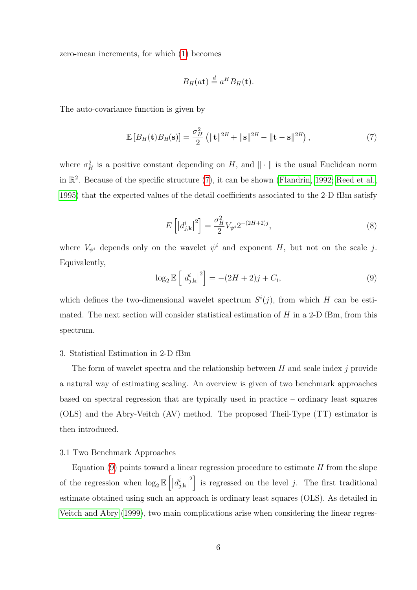zero-mean increments, for which [\(1\)](#page-1-0) becomes

<span id="page-5-0"></span>
$$
B_H(at) \stackrel{d}{=} a^H B_H(\mathbf{t}).
$$

The auto-covariance function is given by

$$
\mathbb{E}\left[B_H(\mathbf{t})B_H(\mathbf{s})\right] = \frac{\sigma_H^2}{2} \left( \|\mathbf{t}\|^{2H} + \|\mathbf{s}\|^{2H} - \|\mathbf{t} - \mathbf{s}\|^{2H} \right),\tag{7}
$$

where  $\sigma_H^2$  is a positive constant depending on H, and  $\|\cdot\|$  is the usual Euclidean norm in  $\mathbb{R}^2$ . Because of the specific structure [\(7\)](#page-5-0), it can be shown [\(Flandrin, 1992;](#page-18-5) [Reed et al.,](#page-20-8) [1995\)](#page-20-8) that the expected values of the detail coefficients associated to the 2-D fBm satisfy

$$
E\left[ \left| d_{j,\mathbf{k}}^{i} \right|^{2} \right] = \frac{\sigma_{H}^{2}}{2} V_{\psi^{i}} 2^{-(2H+2)j}, \tag{8}
$$

<span id="page-5-1"></span>where  $V_{\psi^i}$  depends only on the wavelet  $\psi^i$  and exponent H, but not on the scale j. Equivalently,

$$
\log_2 \mathbb{E}\left[\left|d_{j,\mathbf{k}}^i\right|^2\right] = -(2H+2)j + C_i,\tag{9}
$$

which defines the two-dimensional wavelet spectrum  $S^{i}(j)$ , from which H can be estimated. The next section will consider statistical estimation of  $H$  in a 2-D fBm, from this spectrum.

## 3. Statistical Estimation in 2-D fBm

The form of wavelet spectra and the relationship between  $H$  and scale index  $j$  provide a natural way of estimating scaling. An overview is given of two benchmark approaches based on spectral regression that are typically used in practice – ordinary least squares (OLS) and the Abry-Veitch (AV) method. The proposed Theil-Type (TT) estimator is then introduced.

## 3.1 Two Benchmark Approaches

Equation  $(9)$  points toward a linear regression procedure to estimate H from the slope of the regression when  $\log_2 \mathbb{E}\left[ \left| d_{j,\mathbf{k}}^{i} \right| \right]$ <sup>2</sup> is regressed on the level j. The first traditional estimate obtained using such an approach is ordinary least squares (OLS). As detailed in [Veitch and Abry](#page-20-1) [\(1999\)](#page-20-1), two main complications arise when considering the linear regres-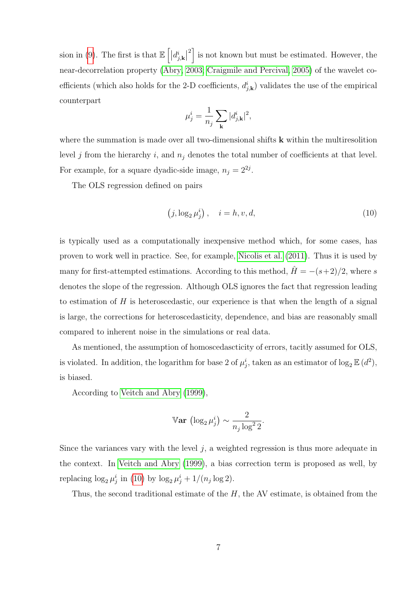sion in [\(9\)](#page-5-1). The first is that  $\mathbb{E}\left[ \left| d_{j,\mathbf{k}}^{i}\right| \right]$ <sup>2</sup> is not known but must be estimated. However, the near-decorrelation property [\(Abry, 2003;](#page-17-4) [Craigmile and Percival, 2005\)](#page-17-7) of the wavelet coefficients (which also holds for the 2-D coefficients,  $d_{j,k}^i$ ) validates the use of the empirical counterpart

$$
\mu_j^i = \frac{1}{n_j} \sum_{\mathbf{k}} |d_{j,\mathbf{k}}^i|^2,
$$

where the summation is made over all two-dimensional shifts  $k$  within the multiresolition level j from the hierarchy i, and  $n_j$  denotes the total number of coefficients at that level. For example, for a square dyadic-side image,  $n_j = 2^{2j}$ .

The OLS regression defined on pairs

<span id="page-6-0"></span>
$$
(j, \log_2 \mu_j^i), \quad i = h, v, d,
$$
\n
$$
(10)
$$

is typically used as a computationally inexpensive method which, for some cases, has proven to work well in practice. See, for example, [Nicolis et al.](#page-19-8) [\(2011\)](#page-19-8). Thus it is used by many for first-attempted estimations. According to this method,  $\hat{H} = -(s+2)/2$ , where s denotes the slope of the regression. Although OLS ignores the fact that regression leading to estimation of  $H$  is heteroscedastic, our experience is that when the length of a signal is large, the corrections for heteroscedasticity, dependence, and bias are reasonably small compared to inherent noise in the simulations or real data.

As mentioned, the assumption of homoscedascticity of errors, tacitly assumed for OLS, is violated. In addition, the logarithm for base 2 of  $\mu_j^i$ , taken as an estimator of  $\log_2 \mathbb{E} (d^2)$ , is biased.

According to [Veitch and Abry](#page-20-1) [\(1999\)](#page-20-1),

$$
\mathbb{V}\mathbf{ar} \, (\log_2 \mu_j^i) \sim \frac{2}{n_j \log^2 2}.
$$

Since the variances vary with the level  $j$ , a weighted regression is thus more adequate in the context. In [Veitch and Abry](#page-20-1) [\(1999\)](#page-20-1), a bias correction term is proposed as well, by replacing  $\log_2 \mu_j^i$  in [\(10\)](#page-6-0) by  $\log_2 \mu_j^i + 1/(n_j \log 2)$ .

Thus, the second traditional estimate of the  $H$ , the AV estimate, is obtained from the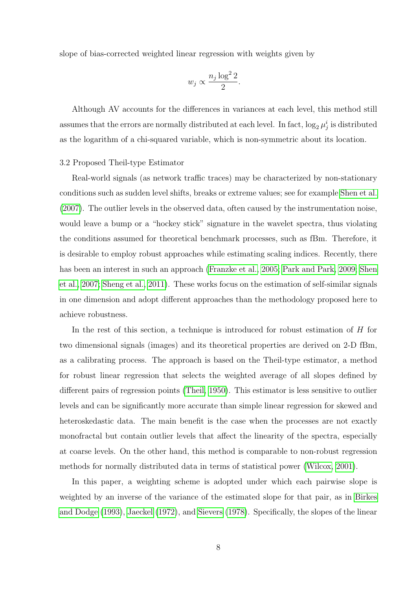slope of bias-corrected weighted linear regression with weights given by

$$
w_j \propto \frac{n_j \log^2 2}{2}.
$$

Although AV accounts for the differences in variances at each level, this method still assumes that the errors are normally distributed at each level. In fact,  $\log_2 \mu_j^i$  is distributed as the logarithm of a chi-squared variable, which is non-symmetric about its location.

#### 3.2 Proposed Theil-type Estimator

Real-world signals (as network traffic traces) may be characterized by non-stationary conditions such as sudden level shifts, breaks or extreme values; see for example [Shen et al.](#page-20-2) [\(2007\)](#page-20-2). The outlier levels in the observed data, often caused by the instrumentation noise, would leave a bump or a "hockey stick" signature in the wavelet spectra, thus violating the conditions assumed for theoretical benchmark processes, such as fBm. Therefore, it is desirable to employ robust approaches while estimating scaling indices. Recently, there has been an interest in such an approach [\(Franzke et al., 2005;](#page-18-2) [Park and Park, 2009;](#page-19-3) [Shen](#page-20-2) [et al., 2007;](#page-20-2) [Sheng et al., 2011\)](#page-20-3). These works focus on the estimation of self-similar signals in one dimension and adopt different approaches than the methodology proposed here to achieve robustness.

In the rest of this section, a technique is introduced for robust estimation of H for two dimensional signals (images) and its theoretical properties are derived on 2-D fBm, as a calibrating process. The approach is based on the Theil-type estimator, a method for robust linear regression that selects the weighted average of all slopes defined by different pairs of regression points [\(Theil, 1950\)](#page-20-4). This estimator is less sensitive to outlier levels and can be significantly more accurate than simple linear regression for skewed and heteroskedastic data. The main benefit is the case when the processes are not exactly monofractal but contain outlier levels that affect the linearity of the spectra, especially at coarse levels. On the other hand, this method is comparable to non-robust regression methods for normally distributed data in terms of statistical power [\(Wilcox, 2001\)](#page-21-2).

In this paper, a weighting scheme is adopted under which each pairwise slope is weighted by an inverse of the variance of the estimated slope for that pair, as in [Birkes](#page-17-8) [and Dodge](#page-17-8) [\(1993\)](#page-17-8), [Jaeckel](#page-18-6) [\(1972\)](#page-18-6), and [Sievers](#page-20-9) [\(1978\)](#page-20-9). Specifically, the slopes of the linear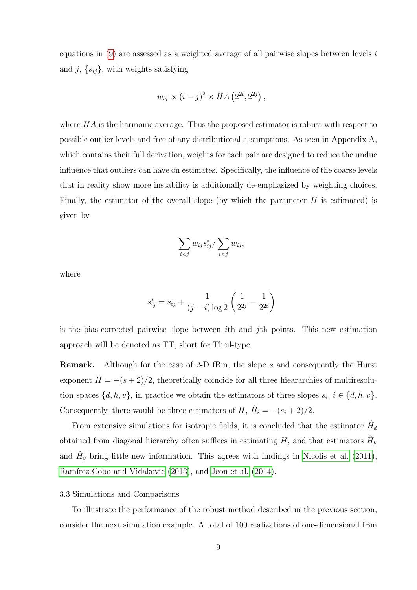equations in  $(9)$  are assessed as a weighted average of all pairwise slopes between levels i and j,  $\{s_{ij}\}\$ , with weights satisfying

$$
w_{ij} \propto (i-j)^2 \times HA\left(2^{2i}, 2^{2j}\right),\,
$$

where  $HA$  is the harmonic average. Thus the proposed estimator is robust with respect to possible outlier levels and free of any distributional assumptions. As seen in Appendix A, which contains their full derivation, weights for each pair are designed to reduce the undue influence that outliers can have on estimates. Specifically, the influence of the coarse levels that in reality show more instability is additionally de-emphasized by weighting choices. Finally, the estimator of the overall slope (by which the parameter  $H$  is estimated) is given by

$$
\sum_{i < j} w_{ij} s_{ij}^* / \sum_{i < j} w_{ij},
$$

where

$$
s_{ij}^* = s_{ij} + \frac{1}{(j-i)\log 2} \left(\frac{1}{2^{2j}} - \frac{1}{2^{2i}}\right)
$$

is the bias-corrected pairwise slope between ith and jth points. This new estimation approach will be denoted as TT, short for Theil-type.

**Remark.** Although for the case of 2-D fBm, the slope s and consequently the Hurst exponent  $H = -(s+2)/2$ , theoretically coincide for all three hieararchies of multiresolution spaces  $\{d, h, v\}$ , in practice we obtain the estimators of three slopes  $s_i, i \in \{d, h, v\}$ . Consequently, there would be three estimators of  $H, \hat{H}_i = -(s_i + 2)/2$ .

From extensive simulations for isotropic fields, it is concluded that the estimator  $\hat{H}_d$ obtained from diagonal hierarchy often suffices in estimating  $H$ , and that estimators  $\hat{H}_h$ and  $\hat{H}_v$  bring little new information. This agrees with findings in [Nicolis et al.](#page-19-8) [\(2011\)](#page-19-8), Ramírez-Cobo and Vidakovic [\(2013\)](#page-20-6), and [Jeon et al.](#page-18-4) [\(2014\)](#page-18-4).

# 3.3 Simulations and Comparisons

To illustrate the performance of the robust method described in the previous section, consider the next simulation example. A total of 100 realizations of one-dimensional fBm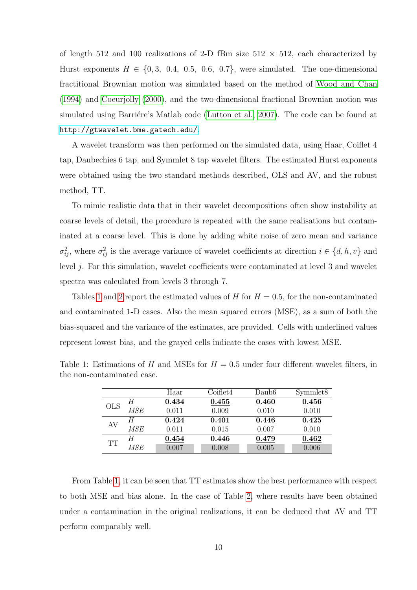of length 512 and 100 realizations of 2-D fBm size  $512 \times 512$ , each characterized by Hurst exponents  $H \in \{0, 3, 0.4, 0.5, 0.6, 0.7\}$ , were simulated. The one-dimensional fractitional Brownian motion was simulated based on the method of [Wood and Chan](#page-21-3) [\(1994\)](#page-21-3) and [Coeurjolly](#page-17-9) [\(2000\)](#page-17-9), and the two-dimensional fractional Brownian motion was simulated using Barriére's Matlab code [\(Lutton et al., 2007\)](#page-19-10). The code can be found at <http://gtwavelet.bme.gatech.edu/>.

A wavelet transform was then performed on the simulated data, using Haar, Coiflet 4 tap, Daubechies 6 tap, and Symmlet 8 tap wavelet filters. The estimated Hurst exponents were obtained using the two standard methods described, OLS and AV, and the robust method, TT.

To mimic realistic data that in their wavelet decompositions often show instability at coarse levels of detail, the procedure is repeated with the same realisations but contaminated at a coarse level. This is done by adding white noise of zero mean and variance  $\sigma_{ij}^2$ , where  $\sigma_{ij}^2$  is the average variance of wavelet coefficients at direction  $i \in \{d, h, v\}$  and level j. For this simulation, wavelet coefficients were contaminated at level 3 and wavelet spectra was calculated from levels 3 through 7.

Tables [1](#page-9-0) and [2](#page-10-0) report the estimated values of H for  $H = 0.5$ , for the non-contaminated and contaminated 1-D cases. Also the mean squared errors (MSE), as a sum of both the bias-squared and the variance of the estimates, are provided. Cells with underlined values represent lowest bias, and the grayed cells indicate the cases with lowest MSE.

<span id="page-9-0"></span>

|            |     | Haar  | Coiflet4 | Daub6 | Symmlet <sub>8</sub> |
|------------|-----|-------|----------|-------|----------------------|
| <b>OLS</b> | H   | 0.434 | 0.455    | 0.460 | 0.456                |
|            | MSE | 0.011 | 0.009    | 0.010 | 0.010                |
| AV         | Н   | 0.424 | 0.401    | 0.446 | 0.425                |
|            | MSE | 0.011 | 0.015    | 0.007 | 0.010                |
| <b>TT</b>  | H   | 0.454 | 0.446    | 0.479 | 0.462                |
|            | MSE | 0.007 | 0.008    | 0.005 | 0.006                |

Table 1: Estimations of H and MSEs for  $H = 0.5$  under four different wavelet filters, in the non-contaminated case.

From Table [1,](#page-9-0) it can be seen that TT estimates show the best performance with respect to both MSE and bias alone. In the case of Table [2,](#page-10-0) where results have been obtained under a contamination in the original realizations, it can be deduced that AV and TT perform comparably well.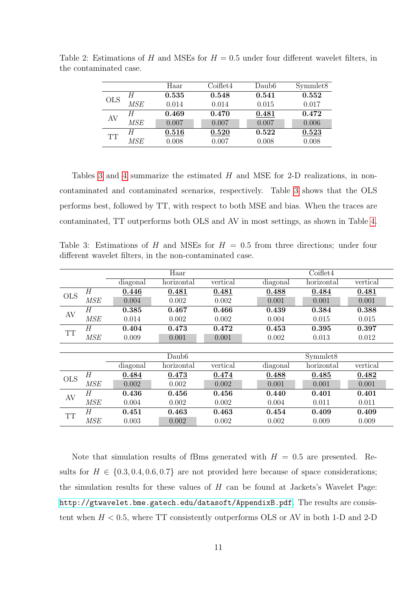<span id="page-10-0"></span>

|            |     | Haar  | Coiflet4 | Daub <sub>6</sub> | Symmlet <sub>8</sub> |
|------------|-----|-------|----------|-------------------|----------------------|
| <b>OLS</b> |     | 0.535 | 0.548    | 0.541             | 0.552                |
|            | MSE | 0.014 | 0.014    | 0.015             | 0.017                |
| AV         | Н   | 0.469 | 0.470    | 0.481             | 0.472                |
|            | MSE | 0.007 | 0.007    | 0.007             | 0.006                |
| <b>TT</b>  | H   | 0.516 | 0.520    | 0.522             | 0.523                |
|            | MSE | 0.008 | 0.007    | 0.008             | 0.008                |

Table 2: Estimations of H and MSEs for  $H = 0.5$  under four different wavelet filters, in the contaminated case.

Tables [3](#page-10-1) and [4](#page-11-0) summarize the estimated  $H$  and MSE for 2-D realizations, in noncontaminated and contaminated scenarios, respectively. Table [3](#page-10-1) shows that the OLS performs best, followed by TT, with respect to both MSE and bias. When the traces are contaminated, TT outperforms both OLS and AV in most settings, as shown in Table [4.](#page-11-0)

<span id="page-10-1"></span>Table 3: Estimations of H and MSEs for  $H = 0.5$  from three directions; under four different wavelet filters, in the non-contaminated case.

|            |                | Haar     |                   |          |          | Coiflet4   |          |  |  |
|------------|----------------|----------|-------------------|----------|----------|------------|----------|--|--|
|            |                | diagonal | horizontal        | vertical | diagonal | horizontal | vertical |  |  |
| <b>OLS</b> | H              | 0.446    | 0.481             | 0.481    | 0.488    | 0.484      | 0.481    |  |  |
|            | MSE            | 0.004    | 0.002             | 0.002    | 0.001    | 0.001      | 0.001    |  |  |
| AV         | Н              | 0.385    | 0.467             | 0.466    | 0.439    | 0.384      | 0.388    |  |  |
|            | MSE            | 0.014    | 0.002             | 0.002    | 0.004    | 0.015      | 0.015    |  |  |
| <b>TT</b>  | Н              | 0.404    | 0.473             | 0.472    | 0.453    | 0.395      | 0.397    |  |  |
|            | MSE            | 0.009    | 0.001             | 0.001    | 0.002    | 0.013      | 0.012    |  |  |
|            |                |          |                   |          |          |            |          |  |  |
|            |                |          | Daub <sub>6</sub> |          |          | Symmlet8   |          |  |  |
|            |                | diagonal | horizontal        | vertical | diagonal | horizontal | vertical |  |  |
| <b>OLS</b> | $\overline{H}$ | 0.484    | 0.473             | 0.474    | 0.488    | 0.485      | 0.482    |  |  |
|            | MSE            | 0.002    | 0.002             | 0.002    | 0.001    | 0.001      | 0.001    |  |  |
| AV         | Н              | 0.436    | 0.456             | 0.456    | 0.440    | 0.401      | 0.401    |  |  |
|            | MSE            | 0.004    | 0.002             | 0.002    | 0.004    | 0.011      | 0.011    |  |  |
| <b>TT</b>  | Н              | 0.451    | 0.463             | 0.463    | 0.454    | 0.409      | 0.409    |  |  |
|            | <b>MSE</b>     | 0.003    | 0.002             | 0.002    | 0.002    | 0.009      | 0.009    |  |  |

Note that simulation results of fBms generated with  $H = 0.5$  are presented. Results for  $H \in \{0.3, 0.4, 0.6, 0.7\}$  are not provided here because of space considerations; the simulation results for these values of  $H$  can be found at Jackets's Wavelet Page: <http://gtwavelet.bme.gatech.edu/datasoft/AppendixB.pdf>. The results are consistent when  $H < 0.5$ , where TT consistently outperforms OLS or AV in both 1-D and 2-D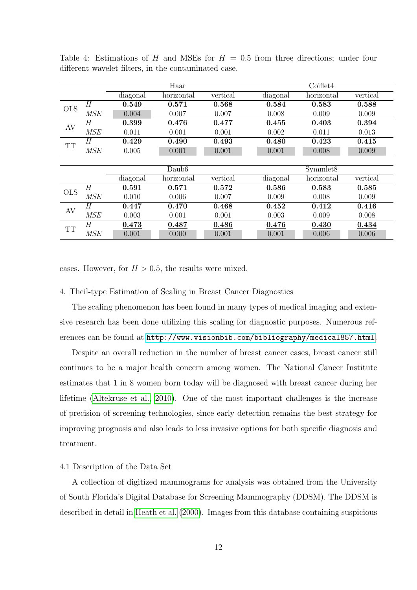|            |                |          | Haar              |          |          | Coiflet4   |          |
|------------|----------------|----------|-------------------|----------|----------|------------|----------|
|            |                | diagonal | horizontal        | vertical | diagonal | horizontal | vertical |
| <b>OLS</b> | H              | 0.549    | 0.571             | 0.568    | 0.584    | 0.583      | 0.588    |
|            | MSE            | 0.004    | 0.007             | 0.007    | 0.008    | 0.009      | 0.009    |
| AV         | Н              | 0.399    | 0.476             | 0.477    | 0.455    | 0.403      | 0.394    |
|            | MSE            | 0.011    | 0.001             | 0.001    | 0.002    | 0.011      | 0.013    |
| <b>TT</b>  | Н              | 0.429    | 0.490             | 0.493    | 0.480    | 0.423      | 0.415    |
|            | MSE            | 0.005    | 0.001             | 0.001    | 0.001    | 0.008      | 0.009    |
|            |                |          |                   |          |          |            |          |
|            |                |          | Daub <sub>6</sub> |          |          | Symmlet8   |          |
|            |                | diagonal | horizontal        | vertical | diagonal | horizontal | vertical |
| <b>OLS</b> | H              | 0.591    | 0.571             | 0.572    | 0.586    | 0.583      | 0.585    |
|            | <b>MSE</b>     | 0.010    | 0.006             | 0.007    | 0.009    | 0.008      | 0.009    |
| AV         | $\overline{H}$ | 0.447    | 0.470             | 0.468    | 0.452    | 0.412      | 0.416    |
|            | MSE            | 0.003    | 0.001             | 0.001    | 0.003    | 0.009      | 0.008    |
| <b>TT</b>  | H              | 0.473    | 0.487             | 0.486    | 0.476    | 0.430      | 0.434    |
|            | <b>MSE</b>     | 0.001    | 0.000             | 0.001    | 0.001    | 0.006      | 0.006    |

<span id="page-11-0"></span>Table 4: Estimations of H and MSEs for  $H = 0.5$  from three directions; under four different wavelet filters, in the contaminated case.

cases. However, for  $H > 0.5$ , the results were mixed.

## 4. Theil-type Estimation of Scaling in Breast Cancer Diagnostics

The scaling phenomenon has been found in many types of medical imaging and extensive research has been done utilizing this scaling for diagnostic purposes. Numerous references can be found at <http://www.visionbib.com/bibliography/medical857.html>.

Despite an overall reduction in the number of breast cancer cases, breast cancer still continues to be a major health concern among women. The National Cancer Institute estimates that 1 in 8 women born today will be diagnosed with breast cancer during her lifetime [\(Altekruse et al., 2010\)](#page-17-10). One of the most important challenges is the increase of precision of screening technologies, since early detection remains the best strategy for improving prognosis and also leads to less invasive options for both specific diagnosis and treatment.

#### 4.1 Description of the Data Set

A collection of digitized mammograms for analysis was obtained from the University of South Florida's Digital Database for Screening Mammography (DDSM). The DDSM is described in detail in [Heath et al.](#page-18-7) [\(2000\)](#page-18-7). Images from this database containing suspicious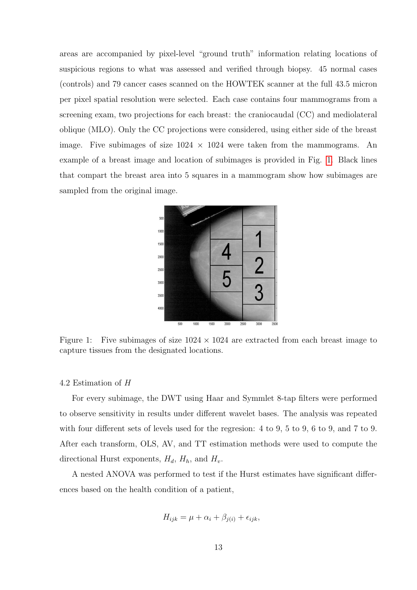areas are accompanied by pixel-level "ground truth" information relating locations of suspicious regions to what was assessed and verified through biopsy. 45 normal cases (controls) and 79 cancer cases scanned on the HOWTEK scanner at the full 43.5 micron per pixel spatial resolution were selected. Each case contains four mammograms from a screening exam, two projections for each breast: the craniocaudal (CC) and mediolateral oblique (MLO). Only the CC projections were considered, using either side of the breast image. Five subimages of size  $1024 \times 1024$  were taken from the mammograms. An example of a breast image and location of subimages is provided in Fig. [1.](#page-12-0) Black lines that compart the breast area into 5 squares in a mammogram show how subimages are sampled from the original image.



<span id="page-12-0"></span>Figure 1: Five subimages of size  $1024 \times 1024$  are extracted from each breast image to capture tissues from the designated locations.

## 4.2 Estimation of H

For every subimage, the DWT using Haar and Symmlet 8-tap filters were performed to observe sensitivity in results under different wavelet bases. The analysis was repeated with four different sets of levels used for the regresion: 4 to 9, 5 to 9, 6 to 9, and 7 to 9. After each transform, OLS, AV, and TT estimation methods were used to compute the directional Hurst exponents,  $H_d$ ,  $H_h$ , and  $H_v$ .

A nested ANOVA was performed to test if the Hurst estimates have significant differences based on the health condition of a patient,

$$
H_{ijk} = \mu + \alpha_i + \beta_{j(i)} + \epsilon_{ijk},
$$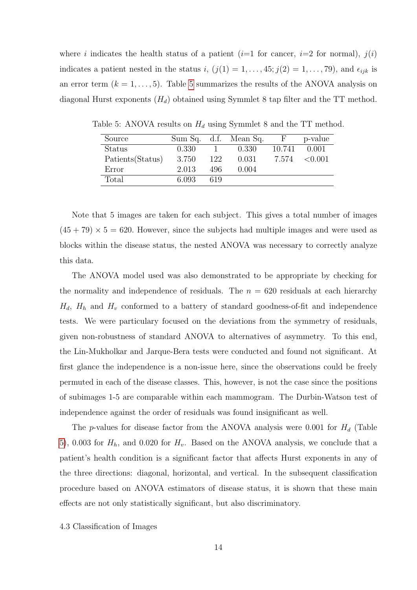where i indicates the health status of a patient  $(i=1$  for cancer,  $i=2$  for normal),  $j(i)$ indicates a patient nested in the status i,  $(j(1) = 1, \ldots, 45; j(2) = 1, \ldots, 79)$ , and  $\epsilon_{ijk}$  is an error term  $(k = 1, \ldots, 5)$  $(k = 1, \ldots, 5)$  $(k = 1, \ldots, 5)$ . Table 5 summarizes the results of the ANOVA analysis on diagonal Hurst exponents  $(H_d)$  obtained using Symmlet 8 tap filter and the TT method.

<span id="page-13-0"></span>

| Source            |       |     | Sum Sq. d.f. Mean Sq. | $H_r$  | p-value |
|-------------------|-------|-----|-----------------------|--------|---------|
| Status            | 0.330 |     | 0.330                 | 10.741 | 0.001   |
| Patients (Status) | 3.750 | 122 | 0.031                 | 7.574  | < 0.001 |
| Error             | 2.013 | 496 | 0.004                 |        |         |
| Total             | 6.093 | 619 |                       |        |         |

Table 5: ANOVA results on  $H_d$  using Symmlet 8 and the TT method.

Note that 5 images are taken for each subject. This gives a total number of images  $(45 + 79) \times 5 = 620$ . However, since the subjects had multiple images and were used as blocks within the disease status, the nested ANOVA was necessary to correctly analyze this data.

The ANOVA model used was also demonstrated to be appropriate by checking for the normality and independence of residuals. The  $n = 620$  residuals at each hierarchy  $H_d$ ,  $H_h$  and  $H_v$  conformed to a battery of standard goodness-of-fit and independence tests. We were particulary focused on the deviations from the symmetry of residuals, given non-robustness of standard ANOVA to alternatives of asymmetry. To this end, the Lin-Mukholkar and Jarque-Bera tests were conducted and found not significant. At first glance the independence is a non-issue here, since the observations could be freely permuted in each of the disease classes. This, however, is not the case since the positions of subimages 1-5 are comparable within each mammogram. The Durbin-Watson test of independence against the order of residuals was found insignificant as well.

The p-values for disease factor from the ANOVA analysis were 0.001 for  $H_d$  (Table [5\)](#page-13-0), 0.003 for  $H<sub>h</sub>$ , and 0.020 for  $H<sub>v</sub>$ . Based on the ANOVA analysis, we conclude that a patient's health condition is a significant factor that affects Hurst exponents in any of the three directions: diagonal, horizontal, and vertical. In the subsequent classification procedure based on ANOVA estimators of disease status, it is shown that these main effects are not only statistically significant, but also discriminatory.

4.3 Classification of Images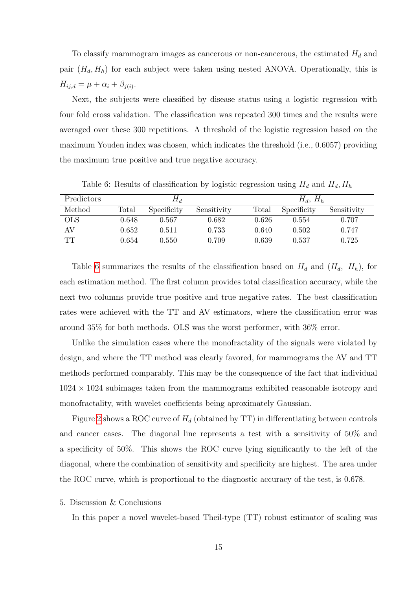To classify mammogram images as cancerous or non-cancerous, the estimated  $H_d$  and pair  $(H_d, H_h)$  for each subject were taken using nested ANOVA. Operationally, this is  $H_{ij,d} = \mu + \alpha_i + \beta_{j(i)}.$ 

Next, the subjects were classified by disease status using a logistic regression with four fold cross validation. The classification was repeated 300 times and the results were averaged over these 300 repetitions. A threshold of the logistic regression based on the maximum Youden index was chosen, which indicates the threshold (i.e., 0.6057) providing the maximum true positive and true negative accuracy.

Predictors  $H_d$   $H_d$ ,  $H_h$ Method Total Specificity Sensitivity Total Specificity Sensitivity OLS 0.648 0.567 0.682 0.626 0.554 0.707 AV 0.652 0.511 0.733 0.640 0.502 0.747 TT 0.654 0.550 0.709 0.639 0.537 0.725

<span id="page-14-0"></span>Table 6: Results of classification by logistic regression using  $H_d$  and  $H_d$ ,  $H_h$ 

Table [6](#page-14-0) summarizes the results of the classification based on  $H_d$  and  $(H_d, H_h)$ , for each estimation method. The first column provides total classification accuracy, while the next two columns provide true positive and true negative rates. The best classification rates were achieved with the TT and AV estimators, where the classification error was around 35% for both methods. OLS was the worst performer, with 36% error.

Unlike the simulation cases where the monofractality of the signals were violated by design, and where the TT method was clearly favored, for mammograms the AV and TT methods performed comparably. This may be the consequence of the fact that individual  $1024 \times 1024$  subimages taken from the mammograms exhibited reasonable isotropy and monofractality, with wavelet coefficients being aproximately Gaussian.

Figure [2](#page-15-0) shows a ROC curve of  $H_d$  (obtained by TT) in differentiating between controls and cancer cases. The diagonal line represents a test with a sensitivity of 50% and a specificity of 50%. This shows the ROC curve lying significantly to the left of the diagonal, where the combination of sensitivity and specificity are highest. The area under the ROC curve, which is proportional to the diagnostic accuracy of the test, is 0.678.

## 5. Discussion & Conclusions

In this paper a novel wavelet-based Theil-type (TT) robust estimator of scaling was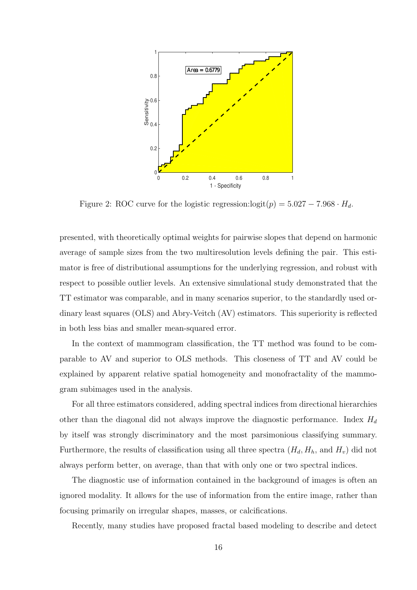

<span id="page-15-0"></span>Figure 2: ROC curve for the logistic regression: $\logit(p) = 5.027 - 7.968 \cdot H_d$ .

presented, with theoretically optimal weights for pairwise slopes that depend on harmonic average of sample sizes from the two multiresolution levels defining the pair. This estimator is free of distributional assumptions for the underlying regression, and robust with respect to possible outlier levels. An extensive simulational study demonstrated that the TT estimator was comparable, and in many scenarios superior, to the standardly used ordinary least squares (OLS) and Abry-Veitch (AV) estimators. This superiority is reflected in both less bias and smaller mean-squared error.

In the context of mammogram classification, the TT method was found to be comparable to AV and superior to OLS methods. This closeness of TT and AV could be explained by apparent relative spatial homogeneity and monofractality of the mammogram subimages used in the analysis.

For all three estimators considered, adding spectral indices from directional hierarchies other than the diagonal did not always improve the diagnostic performance. Index  $H_d$ by itself was strongly discriminatory and the most parsimonious classifying summary. Furthermore, the results of classification using all three spectra  $(H_d, H_h, \text{ and } H_v)$  did not always perform better, on average, than that with only one or two spectral indices.

The diagnostic use of information contained in the background of images is often an ignored modality. It allows for the use of information from the entire image, rather than focusing primarily on irregular shapes, masses, or calcifications.

Recently, many studies have proposed fractal based modeling to describe and detect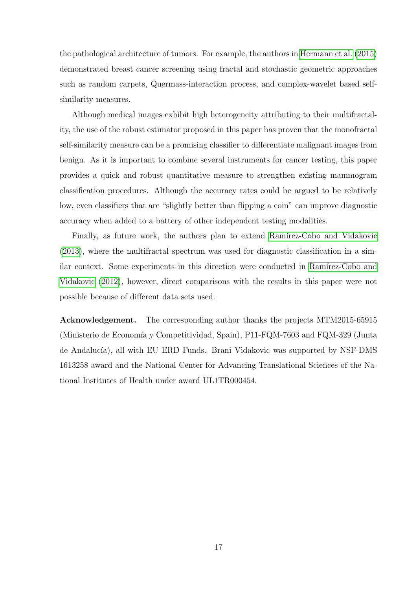the pathological architecture of tumors. For example, the authors in [Hermann et al.](#page-18-8) [\(2015\)](#page-18-8) demonstrated breast cancer screening using fractal and stochastic geometric approaches such as random carpets, Quermass-interaction process, and complex-wavelet based selfsimilarity measures.

Although medical images exhibit high heterogeneity attributing to their multifractality, the use of the robust estimator proposed in this paper has proven that the monofractal self-similarity measure can be a promising classifier to differentiate malignant images from benign. As it is important to combine several instruments for cancer testing, this paper provides a quick and robust quantitative measure to strengthen existing mammogram classification procedures. Although the accuracy rates could be argued to be relatively low, even classifiers that are "slightly better than flipping a coin" can improve diagnostic accuracy when added to a battery of other independent testing modalities.

Finally, as future work, the authors plan to extend Ramírez-Cobo and Vidakovic [\(2013\)](#page-20-6), where the multifractal spectrum was used for diagnostic classification in a similar context. Some experiments in this direction were conducted in Ramírez-Cobo and [Vidakovic](#page-20-10) [\(2012\)](#page-20-10), however, direct comparisons with the results in this paper were not possible because of different data sets used.

Acknowledgement. The corresponding author thanks the projects MTM2015-65915 (Ministerio de Economía y Competitividad, Spain), P11-FQM-7603 and FQM-329 (Junta de Andalucía), all with EU ERD Funds. Brani Vidakovic was supported by NSF-DMS 1613258 award and the National Center for Advancing Translational Sciences of the National Institutes of Health under award UL1TR000454.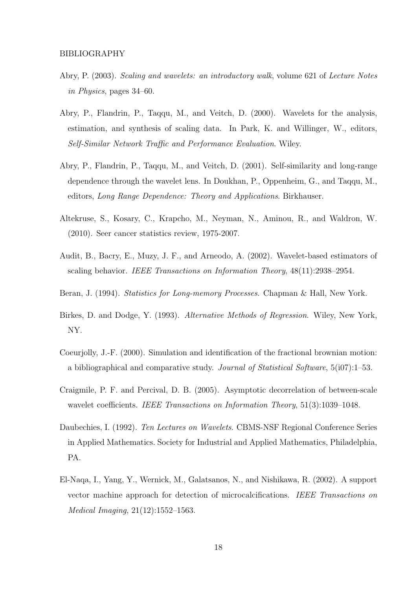- <span id="page-17-4"></span>Abry, P. (2003). Scaling and wavelets: an introductory walk, volume 621 of Lecture Notes in Physics, pages 34–60.
- <span id="page-17-2"></span>Abry, P., Flandrin, P., Taqqu, M., and Veitch, D. (2000). Wavelets for the analysis, estimation, and synthesis of scaling data. In Park, K. and Willinger, W., editors, Self-Similar Network Traffic and Performance Evaluation. Wiley.
- <span id="page-17-3"></span>Abry, P., Flandrin, P., Taqqu, M., and Veitch, D. (2001). Self-similarity and long-range dependence through the wavelet lens. In Doukhan, P., Oppenheim, G., and Taqqu, M., editors, Long Range Dependence: Theory and Applications. Birkhauser.
- <span id="page-17-10"></span>Altekruse, S., Kosary, C., Krapcho, M., Neyman, N., Aminou, R., and Waldron, W. (2010). Seer cancer statistics review, 1975-2007.
- <span id="page-17-5"></span>Audit, B., Bacry, E., Muzy, J. F., and Arneodo, A. (2002). Wavelet-based estimators of scaling behavior. IEEE Transactions on Information Theory, 48(11):2938–2954.
- <span id="page-17-0"></span>Beran, J. (1994). *Statistics for Long-memory Processes*. Chapman & Hall, New York.
- <span id="page-17-8"></span>Birkes, D. and Dodge, Y. (1993). Alternative Methods of Regression. Wiley, New York, NY.
- <span id="page-17-9"></span>Coeurjolly, J.-F. (2000). Simulation and identification of the fractional brownian motion: a bibliographical and comparative study. Journal of Statistical Software, 5(i07):1–53.
- <span id="page-17-7"></span>Craigmile, P. F. and Percival, D. B. (2005). Asymptotic decorrelation of between-scale wavelet coefficients. IEEE Transactions on Information Theory, 51(3):1039-1048.
- <span id="page-17-1"></span>Daubechies, I. (1992). Ten Lectures on Wavelets. CBMS-NSF Regional Conference Series in Applied Mathematics. Society for Industrial and Applied Mathematics, Philadelphia, PA.
- <span id="page-17-6"></span>El-Naqa, I., Yang, Y., Wernick, M., Galatsanos, N., and Nishikawa, R. (2002). A support vector machine approach for detection of microcalcifications. IEEE Transactions on Medical Imaging, 21(12):1552–1563.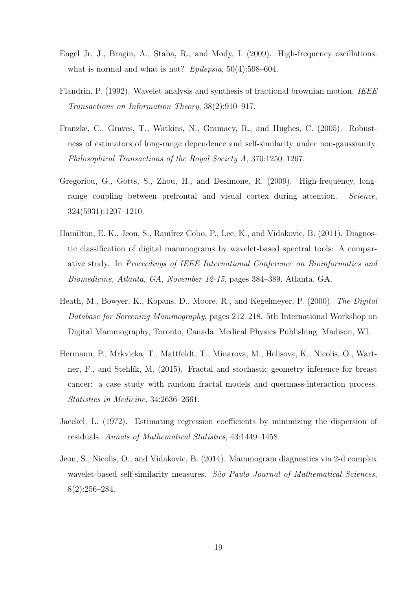- <span id="page-18-0"></span>Engel Jr, J., Bragin, A., Staba, R., and Mody, I. (2009). High-frequency oscillations: what is normal and what is not? Epilepsia,  $50(4):598-604$ .
- <span id="page-18-5"></span>Flandrin, P. (1992). Wavelet analysis and synthesis of fractional brownian motion. IEEE Transactions on Information Theory, 38(2):910–917.
- <span id="page-18-2"></span>Franzke, C., Graves, T., Watkins, N., Gramacy, R., and Hughes, C. (2005). Robustness of estimators of long-range dependence and self-similarity under non-gaussianity. Philosophical Transactions of the Royal Society A, 370:1250–1267.
- <span id="page-18-1"></span>Gregoriou, G., Gotts, S., Zhou, H., and Desimone, R. (2009). High-frequency, longrange coupling between prefrontal and visual cortex during attention. Science, 324(5931):1207–1210.
- <span id="page-18-3"></span>Hamilton, E. K., Jeon, S., Ramírez Cobo, P., Lee, K., and Vidakovic, B. (2011). Diagnostic classification of digital mammograms by wavelet-based spectral tools: A comparative study. In Proceedings of IEEE International Conference on Bioinformatics and Biomedicine, Atlanta, GA, November 12-15, pages 384–389, Atlanta, GA.
- <span id="page-18-7"></span>Heath, M., Bowyer, K., Kopans, D., Moore, R., and Kegelmeyer, P. (2000). The Digital Database for Screening Mammography, pages 212–218. 5th International Workshop on Digital Mammography, Toronto, Canada. Medical Physics Publishing, Madison, WI.
- <span id="page-18-8"></span>Hermann, P., Mrkvicka, T., Mattfeldt, T., Minarova, M., Helisova, K., Nicolis, O., Wartner, F., and Stehlík, M. (2015). Fractal and stochastic geometry inference for breast cancer: a case study with random fractal models and quermass-interaction process. Statistics in Medicine, 34:2636–2661.
- <span id="page-18-6"></span>Jaeckel, L. (1972). Estimating regression coefficients by minimizing the dispersion of residuals. Annals of Mathematical Statistics, 43:1449–1458.
- <span id="page-18-4"></span>Jeon, S., Nicolis, O., and Vidakovic, B. (2014). Mammogram diagnostics via 2-d complex wavelet-based self-similarity measures. São Paulo Journal of Mathematical Sciences, 8(2):256–284.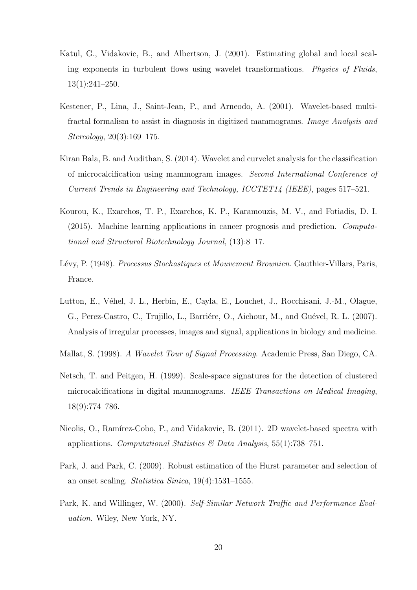- <span id="page-19-0"></span>Katul, G., Vidakovic, B., and Albertson, J. (2001). Estimating global and local scaling exponents in turbulent flows using wavelet transformations. Physics of Fluids, 13(1):241–250.
- <span id="page-19-4"></span>Kestener, P., Lina, J., Saint-Jean, P., and Arneodo, A. (2001). Wavelet-based multifractal formalism to assist in diagnosis in digitized mammograms. Image Analysis and Stereology, 20(3):169–175.
- <span id="page-19-5"></span>Kiran Bala, B. and Audithan, S. (2014). Wavelet and curvelet analysis for the classification of microcalcification using mammogram images. Second International Conference of Current Trends in Engineering and Technology, ICCTET14 (IEEE), pages 517–521.
- <span id="page-19-7"></span>Kourou, K., Exarchos, T. P., Exarchos, K. P., Karamouzis, M. V., and Fotiadis, D. I. (2015). Machine learning applications in cancer prognosis and prediction. Computational and Structural Biotechnology Journal, (13):8–17.
- <span id="page-19-9"></span>Lévy, P. (1948). Processus Stochastiques et Mouvement Brownien. Gauthier-Villars, Paris, France.
- <span id="page-19-10"></span>Lutton, E., Véhel, J. L., Herbin, E., Cayla, E., Louchet, J., Rocchisani, J.-M., Olague, G., Perez-Castro, C., Trujillo, L., Barriére, O., Aichour, M., and Guével, R. L. (2007). Analysis of irregular processes, images and signal, applications in biology and medicine.
- <span id="page-19-2"></span>Mallat, S. (1998). A Wavelet Tour of Signal Processing. Academic Press, San Diego, CA.
- <span id="page-19-6"></span>Netsch, T. and Peitgen, H. (1999). Scale-space signatures for the detection of clustered microcalcifications in digital mammograms. IEEE Transactions on Medical Imaging, 18(9):774–786.
- <span id="page-19-8"></span>Nicolis, O., Ramírez-Cobo, P., and Vidakovic, B. (2011). 2D wavelet-based spectra with applications. Computational Statistics  $\mathcal{O}(Data Analysis, 55(1):738-751)$ .
- <span id="page-19-3"></span>Park, J. and Park, C. (2009). Robust estimation of the Hurst parameter and selection of an onset scaling. Statistica Sinica, 19(4):1531–1555.
- <span id="page-19-1"></span>Park, K. and Willinger, W. (2000). Self-Similar Network Traffic and Performance Evaluation. Wiley, New York, NY.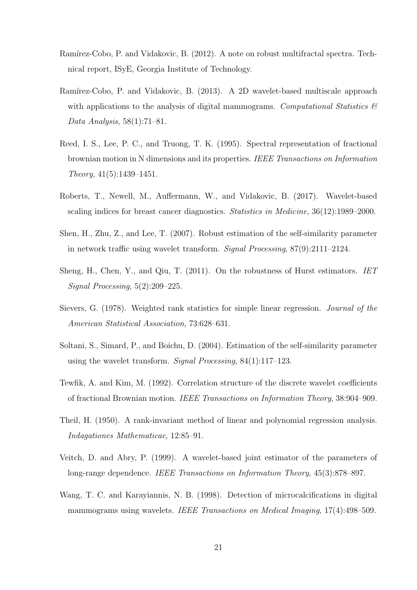- <span id="page-20-10"></span>Ramírez-Cobo, P. and Vidakovic, B. (2012). A note on robust multifractal spectra. Technical report, ISyE, Georgia Institute of Technology.
- <span id="page-20-6"></span>Ramírez-Cobo, P. and Vidakovic, B. (2013). A 2D wavelet-based multiscale approach with applications to the analysis of digital mammograms. Computational Statistics  $\mathcal{C}$ Data Analysis, 58(1):71–81.
- <span id="page-20-8"></span>Reed, I. S., Lee, P. C., and Truong, T. K. (1995). Spectral representation of fractional brownian motion in N dimensions and its properties. IEEE Transactions on Information Theory, 41(5):1439–1451.
- <span id="page-20-7"></span>Roberts, T., Newell, M., Auffermann, W., and Vidakovic, B. (2017). Wavelet-based scaling indices for breast cancer diagnostics. Statistics in Medicine, 36(12):1989–2000.
- <span id="page-20-2"></span>Shen, H., Zhu, Z., and Lee, T. (2007). Robust estimation of the self-similarity parameter in network traffic using wavelet transform. Signal Processing, 87(9):2111–2124.
- <span id="page-20-3"></span>Sheng, H., Chen, Y., and Qiu, T. (2011). On the robustness of Hurst estimators. IET Signal Processing, 5(2):209–225.
- <span id="page-20-9"></span>Sievers, G. (1978). Weighted rank statistics for simple linear regression. Journal of the American Statistical Association, 73:628–631.
- <span id="page-20-0"></span>Soltani, S., Simard, P., and Boichu, D. (2004). Estimation of the self-similarity parameter using the wavelet transform. Signal Processing,  $84(1):117-123$ .
- <span id="page-20-11"></span>Tewfik, A. and Kim, M. (1992). Correlation structure of the discrete wavelet coefficients of fractional Brownian motion. IEEE Transactions on Information Theory, 38:904–909.
- <span id="page-20-4"></span>Theil, H. (1950). A rank-invariant method of linear and polynomial regression analysis. Indagationes Mathematicae, 12:85–91.
- <span id="page-20-1"></span>Veitch, D. and Abry, P. (1999). A wavelet-based joint estimator of the parameters of long-range dependence. IEEE Transactions on Information Theory, 45(3):878–897.
- <span id="page-20-5"></span>Wang, T. C. and Karayiannis, N. B. (1998). Detection of microcalcifications in digital mammograms using wavelets. IEEE Transactions on Medical Imaging, 17(4):498–509.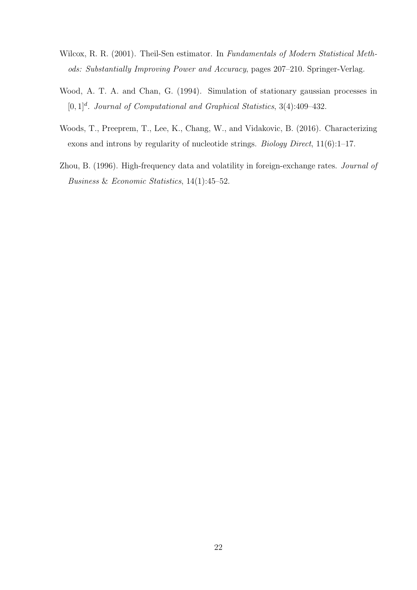- <span id="page-21-2"></span>Wilcox, R. R. (2001). Theil-Sen estimator. In Fundamentals of Modern Statistical Methods: Substantially Improving Power and Accuracy, pages 207–210. Springer-Verlag.
- <span id="page-21-3"></span>Wood, A. T. A. and Chan, G. (1994). Simulation of stationary gaussian processes in  $[0,1]^d$ . Journal of Computational and Graphical Statistics, 3(4):409-432.
- <span id="page-21-0"></span>Woods, T., Preeprem, T., Lee, K., Chang, W., and Vidakovic, B. (2016). Characterizing exons and introns by regularity of nucleotide strings. Biology Direct, 11(6):1–17.
- <span id="page-21-1"></span>Zhou, B. (1996). High-frequency data and volatility in foreign-exchange rates. Journal of Business & Economic Statistics, 14(1):45–52.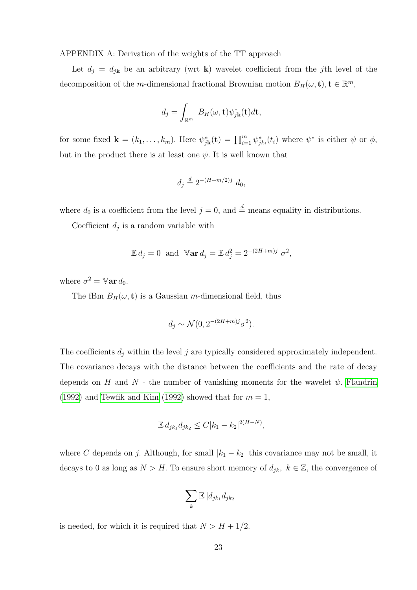APPENDIX A: Derivation of the weights of the TT approach

Let  $d_j = d_{j\mathbf{k}}$  be an arbitrary (wrt **k**) wavelet coefficient from the jth level of the decomposition of the *m*-dimensional fractional Brownian motion  $B_H(\omega, \mathbf{t}), \mathbf{t} \in \mathbb{R}^m$ ,

$$
d_j = \int_{\mathbb{R}^m} B_H(\omega, \mathbf{t}) \psi_{j\mathbf{k}}^*(\mathbf{t}) d\mathbf{t},
$$

for some fixed  $\mathbf{k} = (k_1, \ldots, k_m)$ . Here  $\psi_{j\mathbf{k}}^*(\mathbf{t}) = \prod_{i=1}^m \psi_{j k_i}^*(t_i)$  where  $\psi^*$  is either  $\psi$  or  $\phi$ , but in the product there is at least one  $\psi$ . It is well known that

$$
d_j \stackrel{d}{=} 2^{-(H+m/2)j} d_0,
$$

where  $d_0$  is a coefficient from the level  $j = 0$ , and  $\stackrel{d}{=}$  means equality in distributions.

Coefficient  $d_j$  is a random variable with

$$
\mathbb{E} d_j = 0 \text{ and } \mathbb{V} \text{ar } d_j = \mathbb{E} d_j^2 = 2^{-(2H+m)j} \sigma^2,
$$

where  $\sigma^2 = \mathbb{V}$ ar  $d_0$ .

The fBm  $B_H(\omega, \mathbf{t})$  is a Gaussian *m*-dimensional field, thus

$$
d_j \sim \mathcal{N}(0, 2^{-(2H+m)j} \sigma^2).
$$

The coefficients  $d_j$  within the level j are typically considered approximately independent. The covariance decays with the distance between the coefficients and the rate of decay depends on H and N - the number of vanishing moments for the wavelet  $\psi$ . [Flandrin](#page-18-5) [\(1992\)](#page-20-11) and [Tewfik and Kim](#page-20-11) (1992) showed that for  $m = 1$ ,

$$
\mathbb{E} d_{jk_1} d_{jk_2} \le C|k_1 - k_2|^{2(H-N)},
$$

where C depends on j. Although, for small  $|k_1 - k_2|$  this covariance may not be small, it decays to 0 as long as  $N > H$ . To ensure short memory of  $d_{jk}, k \in \mathbb{Z}$ , the convergence of

$$
\sum_k \mathbb{E} |d_{jk_1} d_{jk_2}|
$$

is needed, for which it is required that  $N > H + 1/2$ .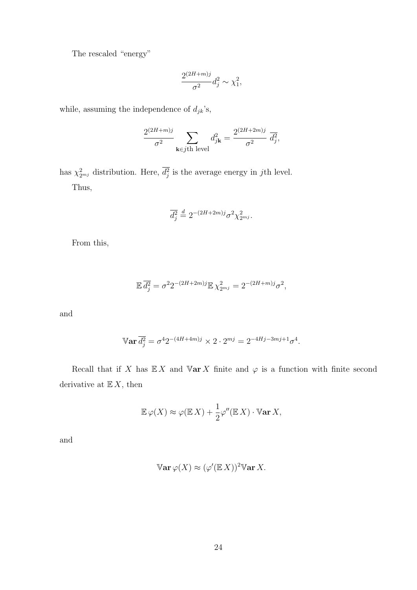The rescaled "energy"

$$
\frac{2^{(2H+m)j}}{\sigma^2}d_j^2 \sim \chi_1^2,
$$

while, assuming the independence of  $d_{jk}{^\prime}{\rm s},$ 

$$
\frac{2^{(2H+m)j}}{\sigma^2}\sum_{\mathbf{k}\in j\text{th level}}d_{j\mathbf{k}}^2=\frac{2^{(2H+2m)j}}{\sigma^2}\;\overline{d_j^2},
$$

has  $\chi^2_{2^{mj}}$  distribution. Here,  $d_j^2$  is the average energy in jth level. Thus,

$$
\overline{d_j^2} \stackrel{d}{=} 2^{-(2H+2m)j} \sigma^2 \chi_{2^{mj}}^2.
$$

From this,

$$
\mathbb{E}\,\overline{d_j^2} = \sigma^2 2^{-(2H+2m)j} \mathbb{E}\,\chi_{2^{mj}}^2 = 2^{-(2H+m)j} \sigma^2,
$$

and

$$
\mathbb{V}\mathbf{ar}\,\overline{d_j^2} = \sigma^4 2^{-(4H+4m)j} \times 2 \cdot 2^{mj} = 2^{-4Hj-3mj+1}\sigma^4.
$$

Recall that if X has  $\mathbb{E} X$  and  $\mathbb{V}$ ar X finite and  $\varphi$  is a function with finite second derivative at  $\mathbb{E}\, X,$  then

$$
\mathbb{E}\,\varphi(X)\approx\varphi(\mathbb{E}\,X)+\frac{1}{2}\varphi''(\mathbb{E}\,X)\cdot\mathbb{V}\text{ar}\,X,
$$

and

$$
\mathbb{V}\mathrm{ar}\,\varphi(X) \approx (\varphi'(\mathbb{E}\,X))^2 \mathbb{V}\mathrm{ar}\,X.
$$